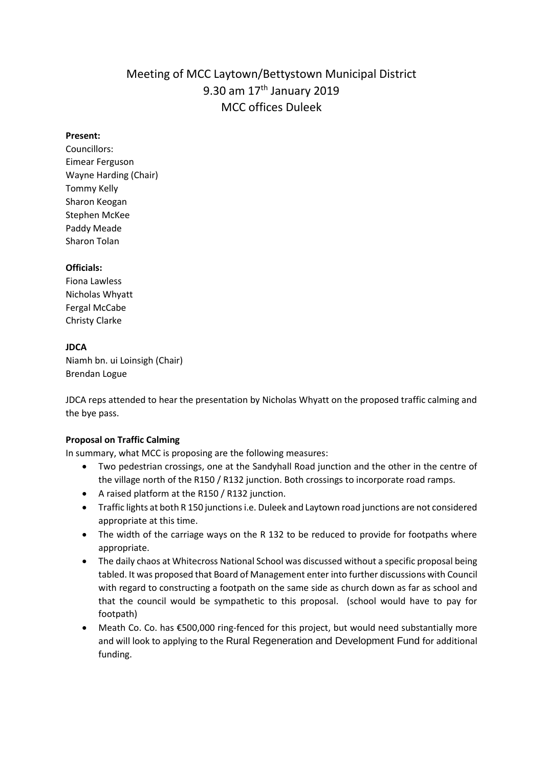# Meeting of MCC Laytown/Bettystown Municipal District 9.30 am 17th January 2019 MCC offices Duleek

### **Present:**

Councillors: Eimear Ferguson Wayne Harding (Chair) Tommy Kelly Sharon Keogan Stephen McKee Paddy Meade Sharon Tolan

## **Officials:**

Fiona Lawless Nicholas Whyatt Fergal McCabe Christy Clarke

## **JDCA**

Niamh bn. ui Loinsigh (Chair) Brendan Logue

JDCA reps attended to hear the presentation by Nicholas Whyatt on the proposed traffic calming and the bye pass.

## **Proposal on Traffic Calming**

In summary, what MCC is proposing are the following measures:

- Two pedestrian crossings, one at the Sandyhall Road junction and the other in the centre of the village north of the R150 / R132 junction. Both crossings to incorporate road ramps.
- A raised platform at the R150 / R132 junction.
- Traffic lights at both R 150 junctions i.e. Duleek and Laytown road junctions are not considered appropriate at this time.
- The width of the carriage ways on the R 132 to be reduced to provide for footpaths where appropriate.
- The daily chaos at Whitecross National School was discussed without a specific proposal being tabled. It was proposed that Board of Management enter into further discussions with Council with regard to constructing a footpath on the same side as church down as far as school and that the council would be sympathetic to this proposal. (school would have to pay for footpath)
- Meath Co. Co. has €500,000 ring-fenced for this project, but would need substantially more and will look to applying to the Rural Regeneration and Development Fund for additional funding.